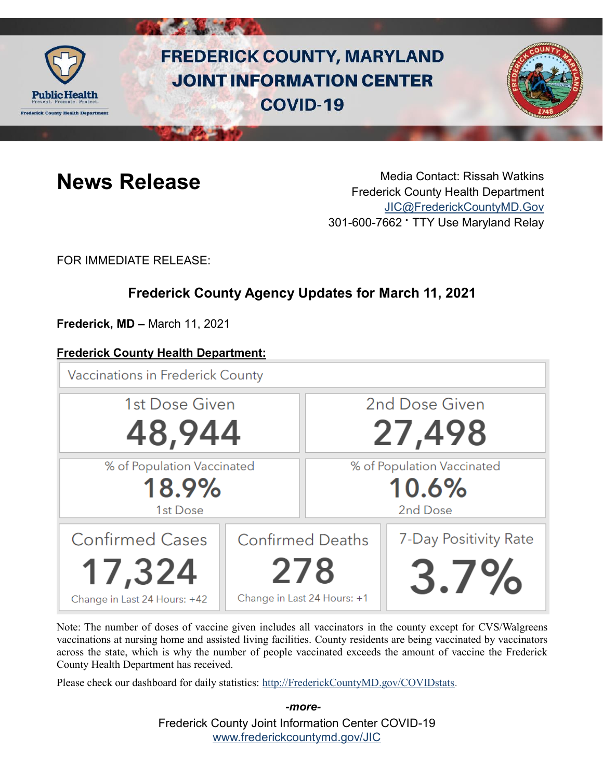

# **FREDERICK COUNTY, MARYLAND JOINT INFORMATION CENTER COVID-19**



**News Release** Media Contact: Rissah Watkins Frederick County Health Department [JIC@FrederickCountyMD.Gov](mailto:JIC@FrederickCountyMD.Gov) 301-600-7662 • TTY Use Maryland Relay

FOR IMMEDIATE RELEASE:

# **Frederick County Agency Updates for March 11, 2021**

**Frederick, MD –** March 11, 2021

### **Frederick County Health Department:**

**Vaccinations in Frederick County** 



Note: The number of doses of vaccine given includes all vaccinators in the county except for CVS/Walgreens vaccinations at nursing home and assisted living facilities. County residents are being vaccinated by vaccinators across the state, which is why the number of people vaccinated exceeds the amount of vaccine the Frederick County Health Department has received.

Please check our dashboard for daily statistics: [http://FrederickCountyMD.gov/COVIDstats.](http://frederickcountymd.gov/COVIDstats)

Frederick County Joint Information Center COVID-19 [www.frederickcountymd.gov/JIC](https://frederickcountymd.gov/JIC) *-more-*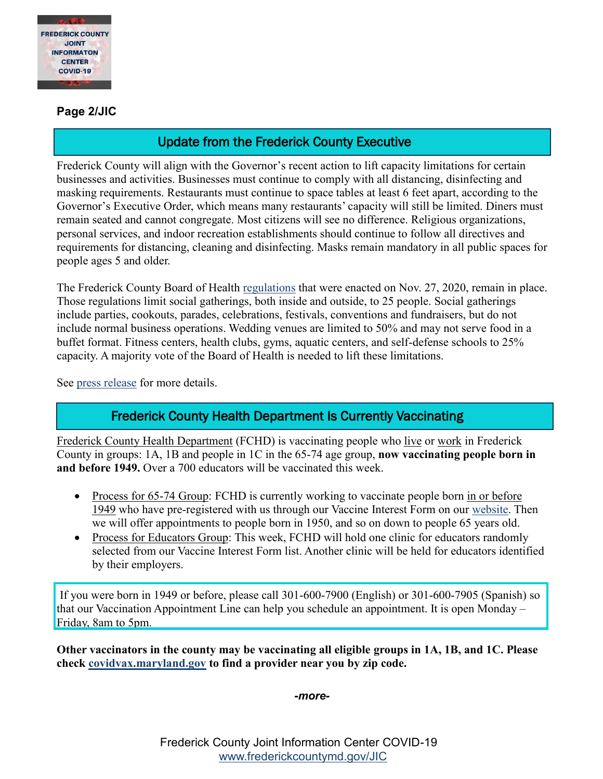

#### **Page 2/JIC**

## Update from the Frederick County Executive

Frederick County will align with the Governor's recent action to lift capacity limitations for certain businesses and activities. Businesses must continue to comply with all distancing, disinfecting and masking requirements. Restaurants must continue to space tables at least 6 feet apart, according to the Governor's Executive Order, which means many restaurants' capacity will still be limited. Diners must remain seated and cannot congregate. Most citizens will see no difference. Religious organizations, personal services, and indoor recreation establishments should continue to follow all directives and requirements for distancing, cleaning and disinfecting. Masks remain mandatory in all public spaces for people ages 5 and older.

The Frederick County Board of Health [regulations](https://health.frederickcountymd.gov/DocumentCenter/View/6431/Board-of-Health-Regulation-02-2020) that were enacted on Nov. 27, 2020, remain in place. Those regulations limit social gatherings, both inside and outside, to 25 people. Social gatherings include parties, cookouts, parades, celebrations, festivals, conventions and fundraisers, but do not include normal business operations. Wedding venues are limited to 50% and may not serve food in a buffet format. Fitness centers, health clubs, gyms, aquatic centers, and self-defense schools to 25% capacity. A majority vote of the Board of Health is needed to lift these limitations.

See [press release](https://www.frederickcountymd.gov/DocumentCenter/View/331241/Covid-update-031121) for more details.

### Frederick County Health Department Is Currently Vaccinating

Frederick County Health Department (FCHD) is vaccinating people who live or work in Frederick County in groups: 1A, 1B and people in 1C in the 65-74 age group, **now vaccinating people born in and before 1949.** Over a 700 educators will be vaccinated this week.

- Process for 65-74 Group: FCHD is currently working to vaccinate people born in or before 1949 who have pre-registered with us through our Vaccine Interest Form on our [website.](https://health.frederickcountymd.gov/629/COVID-19-Vaccine) Then we will offer appointments to people born in 1950, and so on down to people 65 years old.
- Process for Educators Group: This week, FCHD will hold one clinic for educators randomly selected from our Vaccine Interest Form list. Another clinic will be held for educators identified by their employers.

If you were born in 1949 or before, please call 301-600-7900 (English) or 301-600-7905 (Spanish) so that our Vaccination Appointment Line can help you schedule an appointment. It is open Monday – Friday, 8am to 5pm.

**Other vaccinators in the county may be vaccinating all eligible groups in 1A, 1B, and 1C. Please check [covidvax.maryland.gov](https://covidvax.maryland.gov/) to find a provider near you by zip code.**

*-more-*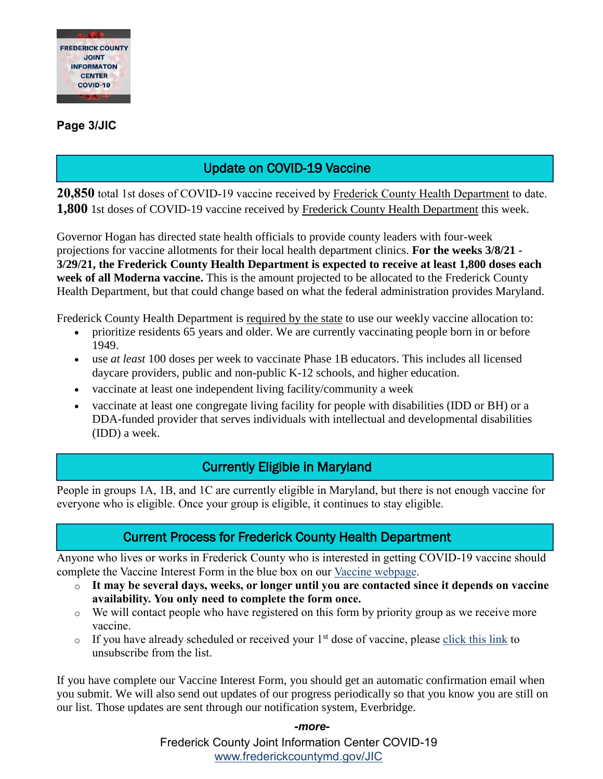

#### **Page 3/JIC**

# Update on COVID-19 Vaccine

**20,850** total 1st doses of COVID-19 vaccine received by Frederick County Health Department to date. **1,800** 1st doses of COVID-19 vaccine received by Frederick County Health Department this week.

Governor Hogan has directed state health officials to provide county leaders with four-week projections for vaccine allotments for their local health department clinics. **For the weeks 3/8/21 - 3/29/21, the Frederick County Health Department is expected to receive at least 1,800 doses each week of all Moderna vaccine.** This is the amount projected to be allocated to the Frederick County Health Department, but that could change based on what the federal administration provides Maryland.

Frederick County Health Department is required by the state to use our weekly vaccine allocation to:

- prioritize residents 65 years and older. We are currently vaccinating people born in or before 1949.
- use *at least* 100 doses per week to vaccinate Phase 1B educators. This includes all licensed daycare providers, public and non-public K-12 schools, and higher education.
- vaccinate at least one independent living facility/community a week
- vaccinate at least one congregate living facility for people with disabilities (IDD or BH) or a DDA-funded provider that serves individuals with intellectual and developmental disabilities (IDD) a week.

### Currently Eligible in Maryland

People in groups 1A, 1B, and 1C are currently eligible in Maryland, but there is not enough vaccine for everyone who is eligible. Once your group is eligible, it continues to stay eligible.

#### Current Process for Frederick County Health Department

Anyone who lives or works in Frederick County who is interested in getting COVID-19 vaccine should complete the Vaccine Interest Form in the blue box on our [Vaccine webpage.](https://health.frederickcountymd.gov/629/COVID-19-Vaccine)

- o **It may be several days, weeks, or longer until you are contacted since it depends on vaccine availability. You only need to complete the form once.**
- o We will contact people who have registered on this form by priority group as we receive more vaccine.
- $\circ$  If you have already scheduled or received your 1<sup>st</sup> dose of vaccine, please [click this link](https://forms.office.com/Pages/ResponsePage.aspx?id=LTTGSAY4Q0id7GpAsbuHNwWNYN1Yz5tBp0XTFg0s7vVUQzg2UFZYWVEzOThNVUtWRkpYSjNOUlBSUCQlQCN0PWcu) to unsubscribe from the list.

If you have complete our Vaccine Interest Form, you should get an automatic confirmation email when you submit. We will also send out updates of our progress periodically so that you know you are still on our list. Those updates are sent through our notification system, Everbridge.

#### *-more-*

Frederick County Joint Information Center COVID-19 [www.frederickcountymd.gov/JIC](https://frederickcountymd.gov/JIC)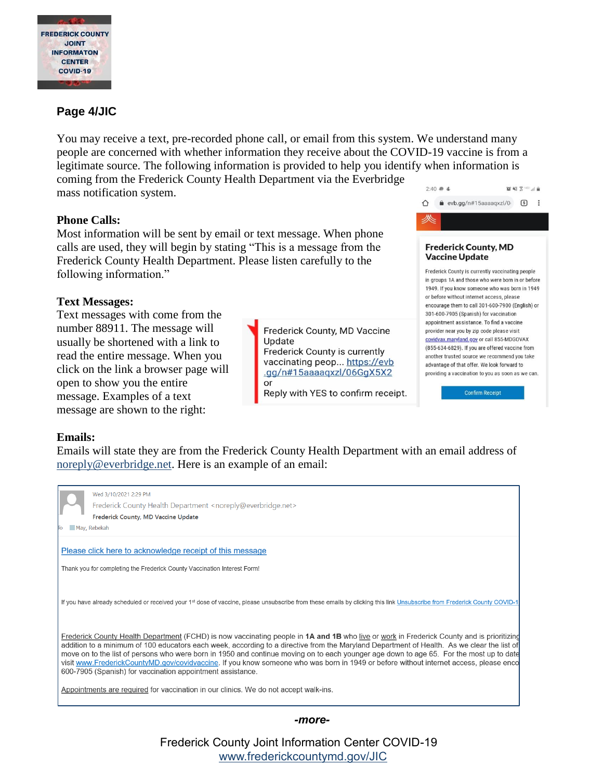

#### **Page 4/JIC**

You may receive a text, pre-recorded phone call, or email from this system. We understand many people are concerned with whether information they receive about the COVID-19 vaccine is from a legitimate source. The following information is provided to help you identify when information is coming from the Frederick County Health Department via the Everbridge  $2.40 - 4$ 管辖美国国家 mass notification system.

#### **Phone Calls:**

Most information will be sent by email or text message. When phone calls are used, they will begin by stating "This is a message from the Frederick County Health Department. Please listen carefully to the following information."

#### **Text Messages:**

Text messages with come from the number 88911. The message will usually be shortened with a link to read the entire message. When you click on the link a browser page will open to show you the entire message. Examples of a text message are shown to the right:

Frederick County, MD Vaccine Update Frederick County is currently vaccinating peop... https://evb .gg/n#15aaaaqxzl/06GgX5X2  $\alpha$ r

Reply with YES to confirm receipt.



#### **Emails:**

Emails will state they are from the Frederick County Health Department with an email address of [noreply@everbridge.net.](mailto:noreply@everbridge.net) Here is an example of an email:

|                                                          | May, Rebekah | Wed 3/10/2021 2:29 PM<br>Frederick County Health Department <noreply@everbridge.net><br/>Frederick County, MD Vaccine Update</noreply@everbridge.net>                                                                                                                                                                                                                                                                                                                                                                                                                                                                                            |
|----------------------------------------------------------|--------------|--------------------------------------------------------------------------------------------------------------------------------------------------------------------------------------------------------------------------------------------------------------------------------------------------------------------------------------------------------------------------------------------------------------------------------------------------------------------------------------------------------------------------------------------------------------------------------------------------------------------------------------------------|
| Please click here to acknowledge receipt of this message |              |                                                                                                                                                                                                                                                                                                                                                                                                                                                                                                                                                                                                                                                  |
|                                                          |              | Thank you for completing the Frederick County Vaccination Interest Form!                                                                                                                                                                                                                                                                                                                                                                                                                                                                                                                                                                         |
|                                                          |              | If you have already scheduled or received your 1st dose of vaccine, please unsubscribe from these emails by clicking this link Unsubscribe from Frederick County COVID-1                                                                                                                                                                                                                                                                                                                                                                                                                                                                         |
|                                                          |              | Frederick County Health Department (FCHD) is now vaccinating people in <b>1A and 1B</b> who live or work in Frederick County and is prioritizing<br>addition to a minimum of 100 educators each week, according to a directive from the Maryland Department of Health. As we clear the list of<br>move on to the list of persons who were born in 1950 and continue moving on to each younger age down to age 65. For the most up to date<br>visit www.FrederickCountyMD.gov/covidvaccine. If you know someone who was born in 1949 or before without internet access, please enco<br>600-7905 (Spanish) for vaccination appointment assistance. |
|                                                          |              | Appointments are required for vaccination in our clinics. We do not accept walk-ins.                                                                                                                                                                                                                                                                                                                                                                                                                                                                                                                                                             |

#### *-more-*

Frederick County Joint Information Center COVID-19 [www.frederickcountymd.gov/JIC](https://frederickcountymd.gov/JIC)